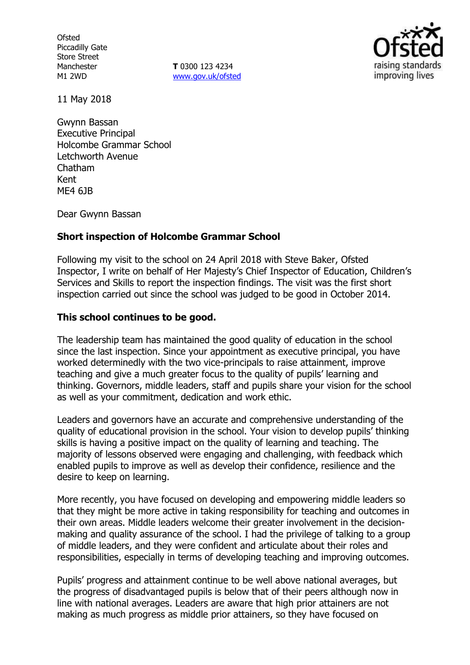**Ofsted** Piccadilly Gate Store Street Manchester M1 2WD

**T** 0300 123 4234 [www.gov.uk/ofsted](http://www.gov.uk/ofsted)



11 May 2018

Gwynn Bassan Executive Principal Holcombe Grammar School Letchworth Avenue Chatham Kent ME4 6JB

Dear Gwynn Bassan

#### **Short inspection of Holcombe Grammar School**

Following my visit to the school on 24 April 2018 with Steve Baker, Ofsted Inspector, I write on behalf of Her Majesty's Chief Inspector of Education, Children's Services and Skills to report the inspection findings. The visit was the first short inspection carried out since the school was judged to be good in October 2014.

#### **This school continues to be good.**

The leadership team has maintained the good quality of education in the school since the last inspection. Since your appointment as executive principal, you have worked determinedly with the two vice-principals to raise attainment, improve teaching and give a much greater focus to the quality of pupils' learning and thinking. Governors, middle leaders, staff and pupils share your vision for the school as well as your commitment, dedication and work ethic.

Leaders and governors have an accurate and comprehensive understanding of the quality of educational provision in the school. Your vision to develop pupils' thinking skills is having a positive impact on the quality of learning and teaching. The majority of lessons observed were engaging and challenging, with feedback which enabled pupils to improve as well as develop their confidence, resilience and the desire to keep on learning.

More recently, you have focused on developing and empowering middle leaders so that they might be more active in taking responsibility for teaching and outcomes in their own areas. Middle leaders welcome their greater involvement in the decisionmaking and quality assurance of the school. I had the privilege of talking to a group of middle leaders, and they were confident and articulate about their roles and responsibilities, especially in terms of developing teaching and improving outcomes.

Pupils' progress and attainment continue to be well above national averages, but the progress of disadvantaged pupils is below that of their peers although now in line with national averages. Leaders are aware that high prior attainers are not making as much progress as middle prior attainers, so they have focused on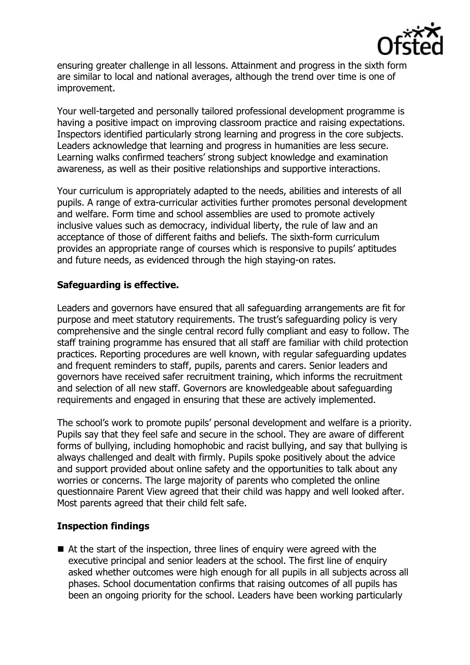

ensuring greater challenge in all lessons. Attainment and progress in the sixth form are similar to local and national averages, although the trend over time is one of improvement.

Your well-targeted and personally tailored professional development programme is having a positive impact on improving classroom practice and raising expectations. Inspectors identified particularly strong learning and progress in the core subjects. Leaders acknowledge that learning and progress in humanities are less secure. Learning walks confirmed teachers' strong subject knowledge and examination awareness, as well as their positive relationships and supportive interactions.

Your curriculum is appropriately adapted to the needs, abilities and interests of all pupils. A range of extra-curricular activities further promotes personal development and welfare. Form time and school assemblies are used to promote actively inclusive values such as democracy, individual liberty, the rule of law and an acceptance of those of different faiths and beliefs. The sixth-form curriculum provides an appropriate range of courses which is responsive to pupils' aptitudes and future needs, as evidenced through the high staying-on rates.

## **Safeguarding is effective.**

Leaders and governors have ensured that all safeguarding arrangements are fit for purpose and meet statutory requirements. The trust's safeguarding policy is very comprehensive and the single central record fully compliant and easy to follow. The staff training programme has ensured that all staff are familiar with child protection practices. Reporting procedures are well known, with regular safeguarding updates and frequent reminders to staff, pupils, parents and carers. Senior leaders and governors have received safer recruitment training, which informs the recruitment and selection of all new staff. Governors are knowledgeable about safeguarding requirements and engaged in ensuring that these are actively implemented.

The school's work to promote pupils' personal development and welfare is a priority. Pupils say that they feel safe and secure in the school. They are aware of different forms of bullying, including homophobic and racist bullying, and say that bullying is always challenged and dealt with firmly. Pupils spoke positively about the advice and support provided about online safety and the opportunities to talk about any worries or concerns. The large majority of parents who completed the online questionnaire Parent View agreed that their child was happy and well looked after. Most parents agreed that their child felt safe.

# **Inspection findings**

■ At the start of the inspection, three lines of enquiry were agreed with the executive principal and senior leaders at the school. The first line of enquiry asked whether outcomes were high enough for all pupils in all subjects across all phases. School documentation confirms that raising outcomes of all pupils has been an ongoing priority for the school. Leaders have been working particularly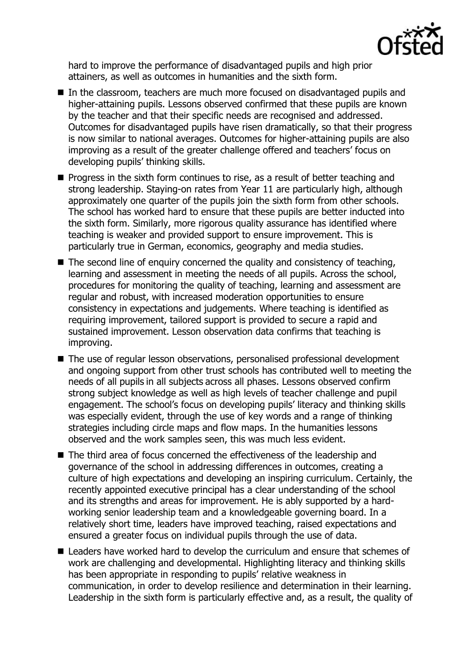

hard to improve the performance of disadvantaged pupils and high prior attainers, as well as outcomes in humanities and the sixth form.

- In the classroom, teachers are much more focused on disadvantaged pupils and higher-attaining pupils. Lessons observed confirmed that these pupils are known by the teacher and that their specific needs are recognised and addressed. Outcomes for disadvantaged pupils have risen dramatically, so that their progress is now similar to national averages. Outcomes for higher-attaining pupils are also improving as a result of the greater challenge offered and teachers' focus on developing pupils' thinking skills.
- $\blacksquare$  Progress in the sixth form continues to rise, as a result of better teaching and strong leadership. Staying-on rates from Year 11 are particularly high, although approximately one quarter of the pupils join the sixth form from other schools. The school has worked hard to ensure that these pupils are better inducted into the sixth form. Similarly, more rigorous quality assurance has identified where teaching is weaker and provided support to ensure improvement. This is particularly true in German, economics, geography and media studies.
- $\blacksquare$  The second line of enquiry concerned the quality and consistency of teaching, learning and assessment in meeting the needs of all pupils. Across the school, procedures for monitoring the quality of teaching, learning and assessment are regular and robust, with increased moderation opportunities to ensure consistency in expectations and judgements. Where teaching is identified as requiring improvement, tailored support is provided to secure a rapid and sustained improvement. Lesson observation data confirms that teaching is improving.
- The use of regular lesson observations, personalised professional development and ongoing support from other trust schools has contributed well to meeting the needs of all pupils in all subjects across all phases. Lessons observed confirm strong subject knowledge as well as high levels of teacher challenge and pupil engagement. The school's focus on developing pupils' literacy and thinking skills was especially evident, through the use of key words and a range of thinking strategies including circle maps and flow maps. In the humanities lessons observed and the work samples seen, this was much less evident.
- The third area of focus concerned the effectiveness of the leadership and governance of the school in addressing differences in outcomes, creating a culture of high expectations and developing an inspiring curriculum. Certainly, the recently appointed executive principal has a clear understanding of the school and its strengths and areas for improvement. He is ably supported by a hardworking senior leadership team and a knowledgeable governing board. In a relatively short time, leaders have improved teaching, raised expectations and ensured a greater focus on individual pupils through the use of data.
- Leaders have worked hard to develop the curriculum and ensure that schemes of work are challenging and developmental. Highlighting literacy and thinking skills has been appropriate in responding to pupils' relative weakness in communication, in order to develop resilience and determination in their learning. Leadership in the sixth form is particularly effective and, as a result, the quality of